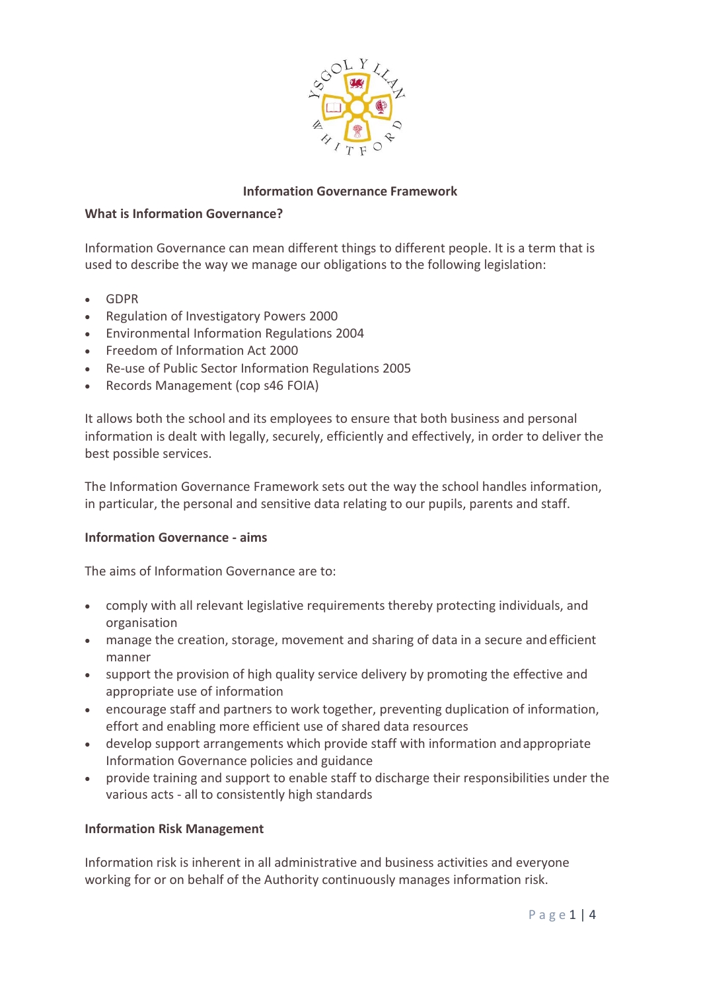

## **Information Governance Framework**

#### **What is Information Governance?**

Information Governance can mean different things to different people. It is a term that is used to describe the way we manage our obligations to the following legislation:

- GDPR
- Regulation of Investigatory Powers 2000
- Environmental Information Regulations 2004
- Freedom of Information Act 2000
- Re-use of Public Sector Information Regulations 2005
- Records Management (cop s46 FOIA)

It allows both the school and its employees to ensure that both business and personal information is dealt with legally, securely, efficiently and effectively, in order to deliver the best possible services.

The Information Governance Framework sets out the way the school handles information, in particular, the personal and sensitive data relating to our pupils, parents and staff.

#### **Information Governance - aims**

The aims of Information Governance are to:

- comply with all relevant legislative requirements thereby protecting individuals, and organisation
- manage the creation, storage, movement and sharing of data in a secure andefficient manner
- support the provision of high quality service delivery by promoting the effective and appropriate use of information
- encourage staff and partners to work together, preventing duplication of information, effort and enabling more efficient use of shared data resources
- develop support arrangements which provide staff with information andappropriate Information Governance policies and guidance
- provide training and support to enable staff to discharge their responsibilities under the various acts - all to consistently high standards

# **Information Risk Management**

Information risk is inherent in all administrative and business activities and everyone working for or on behalf of the Authority continuously manages information risk.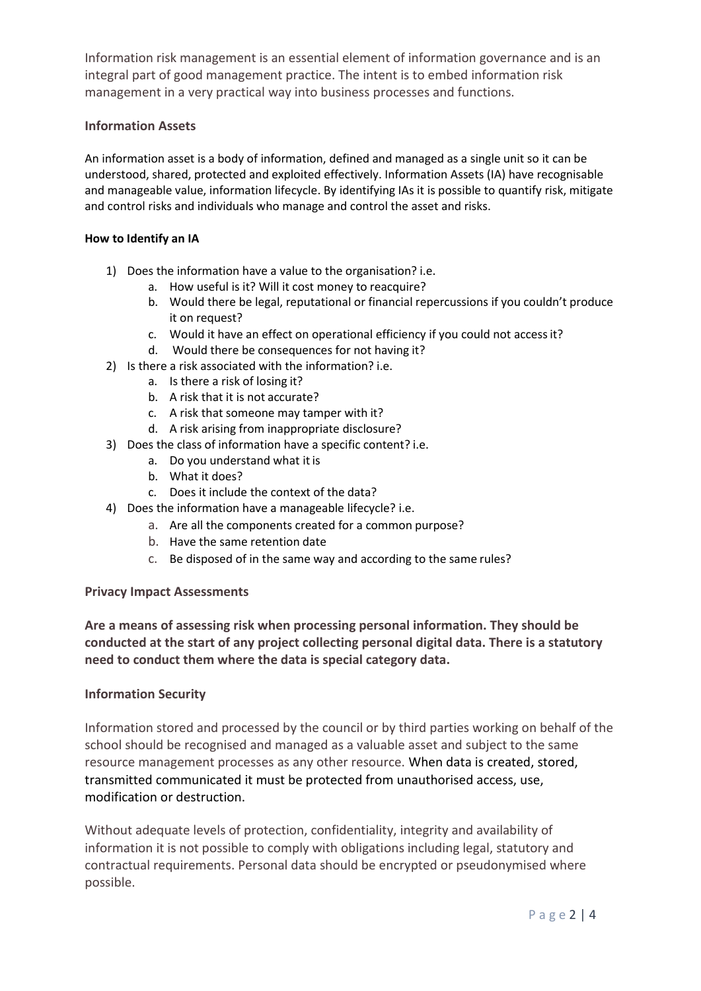Information risk management is an essential element of information governance and is an integral part of good management practice. The intent is to embed information risk management in a very practical way into business processes and functions.

## **Information Assets**

An information asset is a body of information, defined and managed as a single unit so it can be understood, shared, protected and exploited effectively. Information Assets (IA) have recognisable and manageable value, information lifecycle. By identifying IAs it is possible to quantify risk, mitigate and control risks and individuals who manage and control the asset and risks.

#### **How to Identify an IA**

- 1) Does the information have a value to the organisation? i.e.
	- a. How useful is it? Will it cost money to reacquire?
	- b. Would there be legal, reputational or financial repercussions if you couldn't produce it on request?
	- c. Would it have an effect on operational efficiency if you could not accessit?
	- d. Would there be consequences for not having it?
- 2) Is there a risk associated with the information? i.e.
	- a. Is there a risk of losing it?
	- b. A risk that it is not accurate?
	- c. A risk that someone may tamper with it?
	- d. A risk arising from inappropriate disclosure?
- 3) Does the class of information have a specific content? i.e.
	- a. Do you understand what it is
	- b. What it does?
	- c. Does it include the context of the data?
- 4) Does the information have a manageable lifecycle? i.e.
	- a. Are all the components created for a common purpose?
	- b. Have the same retention date
	- c. Be disposed of in the same way and according to the same rules?

#### **Privacy Impact Assessments**

**Are a means of assessing risk when processing personal information. They should be conducted at the start of any project collecting personal digital data. There is a statutory need to conduct them where the data is special category data.**

#### **Information Security**

Information stored and processed by the council or by third parties working on behalf of the school should be recognised and managed as a valuable asset and subject to the same resource management processes as any other resource. When data is created, stored, transmitted communicated it must be protected from unauthorised access, use, modification or destruction.

Without adequate levels of protection, confidentiality, integrity and availability of information it is not possible to comply with obligations including legal, statutory and contractual requirements. Personal data should be encrypted or pseudonymised where possible.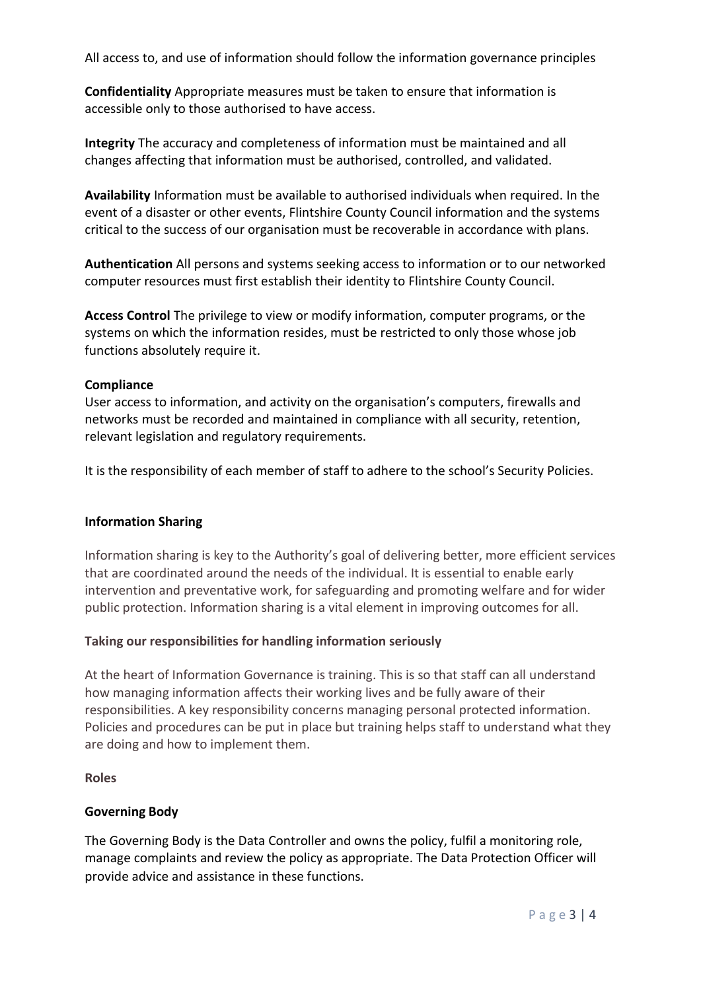All access to, and use of information should follow the information governance principles

**Confidentiality** Appropriate measures must be taken to ensure that information is accessible only to those authorised to have access.

**Integrity** The accuracy and completeness of information must be maintained and all changes affecting that information must be authorised, controlled, and validated.

**Availability** Information must be available to authorised individuals when required. In the event of a disaster or other events, Flintshire County Council information and the systems critical to the success of our organisation must be recoverable in accordance with plans.

**Authentication** All persons and systems seeking access to information or to our networked computer resources must first establish their identity to Flintshire County Council.

**Access Control** The privilege to view or modify information, computer programs, or the systems on which the information resides, must be restricted to only those whose job functions absolutely require it.

#### **Compliance**

User access to information, and activity on the organisation's computers, firewalls and networks must be recorded and maintained in compliance with all security, retention, relevant legislation and regulatory requirements.

It is the responsibility of each member of staff to adhere to the school's Security Policies.

#### **Information Sharing**

Information sharing is key to the Authority's goal of delivering better, more efficient services that are coordinated around the needs of the individual. It is essential to enable early intervention and preventative work, for safeguarding and promoting welfare and for wider public protection. Information sharing is a vital element in improving outcomes for all.

#### **Taking our responsibilities for handling information seriously**

At the heart of Information Governance is training. This is so that staff can all understand how managing information affects their working lives and be fully aware of their responsibilities. A key responsibility concerns managing personal protected information. Policies and procedures can be put in place but training helps staff to understand what they are doing and how to implement them.

#### **Roles**

# **Governing Body**

The Governing Body is the Data Controller and owns the policy, fulfil a monitoring role, manage complaints and review the policy as appropriate. The Data Protection Officer will provide advice and assistance in these functions.